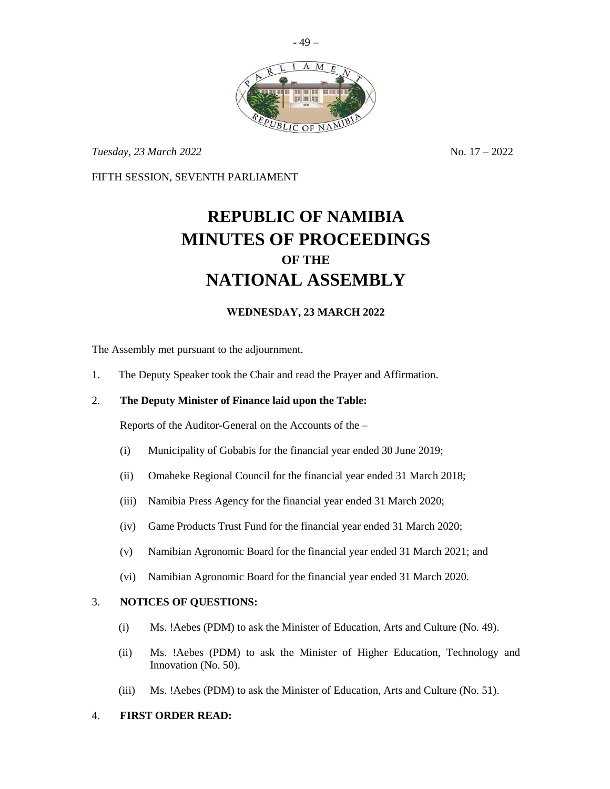

- 49 –

*Tuesday,* 23 *March* 2022 **No. 17** – 2022

FIFTH SESSION, SEVENTH PARLIAMENT

# **REPUBLIC OF NAMIBIA MINUTES OF PROCEEDINGS OF THE NATIONAL ASSEMBLY**

# **WEDNESDAY, 23 MARCH 2022**

The Assembly met pursuant to the adjournment.

1. The Deputy Speaker took the Chair and read the Prayer and Affirmation.

## 2. **The Deputy Minister of Finance laid upon the Table:**

Reports of the Auditor-General on the Accounts of the –

- (i) Municipality of Gobabis for the financial year ended 30 June 2019;
- (ii) Omaheke Regional Council for the financial year ended 31 March 2018;
- (iii) Namibia Press Agency for the financial year ended 31 March 2020;
- (iv) Game Products Trust Fund for the financial year ended 31 March 2020;
- (v) Namibian Agronomic Board for the financial year ended 31 March 2021; and
- (vi) Namibian Agronomic Board for the financial year ended 31 March 2020.

## 3. **NOTICES OF QUESTIONS:**

- (i) Ms. !Aebes (PDM) to ask the Minister of Education, Arts and Culture (No. 49).
- (ii) Ms. !Aebes (PDM) to ask the Minister of Higher Education, Technology and Innovation (No. 50).
- (iii) Ms. !Aebes (PDM) to ask the Minister of Education, Arts and Culture (No. 51).

#### 4. **FIRST ORDER READ:**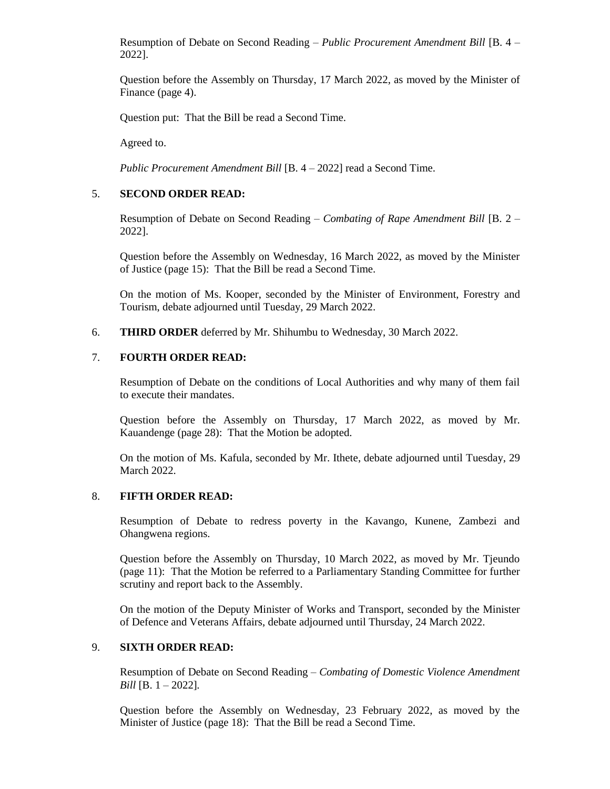Resumption of Debate on Second Reading – *Public Procurement Amendment Bill* [B. 4 – 2022].

Question before the Assembly on Thursday, 17 March 2022, as moved by the Minister of Finance (page 4).

Question put: That the Bill be read a Second Time.

Agreed to.

*Public Procurement Amendment Bill* [B. 4 – 2022] read a Second Time.

#### 5. **SECOND ORDER READ:**

Resumption of Debate on Second Reading – *Combating of Rape Amendment Bill* [B. 2 – 2022].

Question before the Assembly on Wednesday, 16 March 2022, as moved by the Minister of Justice (page 15): That the Bill be read a Second Time.

On the motion of Ms. Kooper, seconded by the Minister of Environment, Forestry and Tourism, debate adjourned until Tuesday, 29 March 2022.

6. **THIRD ORDER** deferred by Mr. Shihumbu to Wednesday, 30 March 2022.

#### 7. **FOURTH ORDER READ:**

Resumption of Debate on the conditions of Local Authorities and why many of them fail to execute their mandates.

Question before the Assembly on Thursday, 17 March 2022, as moved by Mr. Kauandenge (page 28): That the Motion be adopted.

On the motion of Ms. Kafula, seconded by Mr. Ithete, debate adjourned until Tuesday, 29 March 2022.

#### 8. **FIFTH ORDER READ:**

Resumption of Debate to redress poverty in the Kavango, Kunene, Zambezi and Ohangwena regions.

Question before the Assembly on Thursday, 10 March 2022, as moved by Mr. Tjeundo (page 11): That the Motion be referred to a Parliamentary Standing Committee for further scrutiny and report back to the Assembly.

On the motion of the Deputy Minister of Works and Transport, seconded by the Minister of Defence and Veterans Affairs, debate adjourned until Thursday, 24 March 2022.

## 9. **SIXTH ORDER READ:**

Resumption of Debate on Second Reading – *Combating of Domestic Violence Amendment Bill* [B. 1 – 2022]*.*

Question before the Assembly on Wednesday, 23 February 2022, as moved by the Minister of Justice (page 18): That the Bill be read a Second Time.